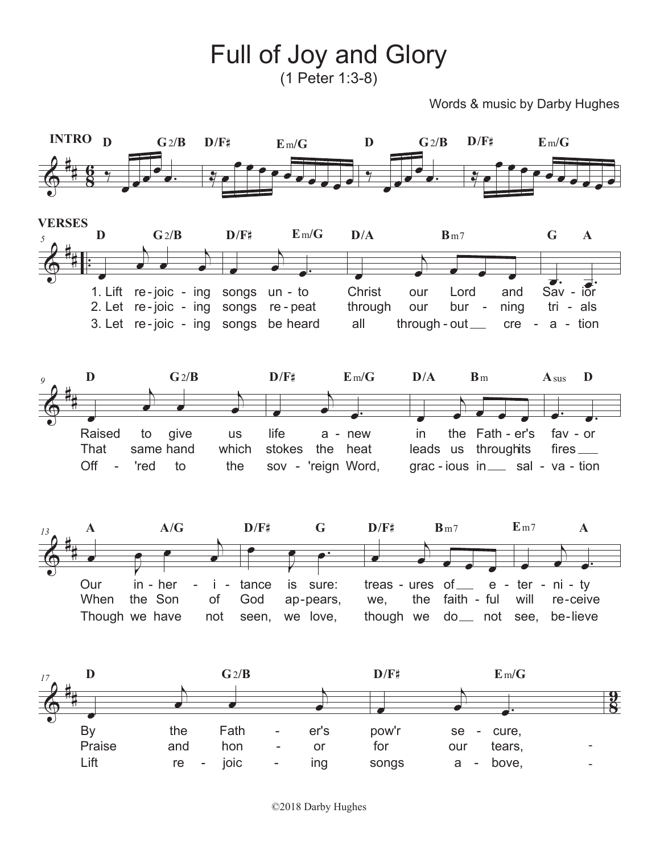Full of Joy and Glory (1 Peter 1:3-8)

Words & music by Darby Hughes